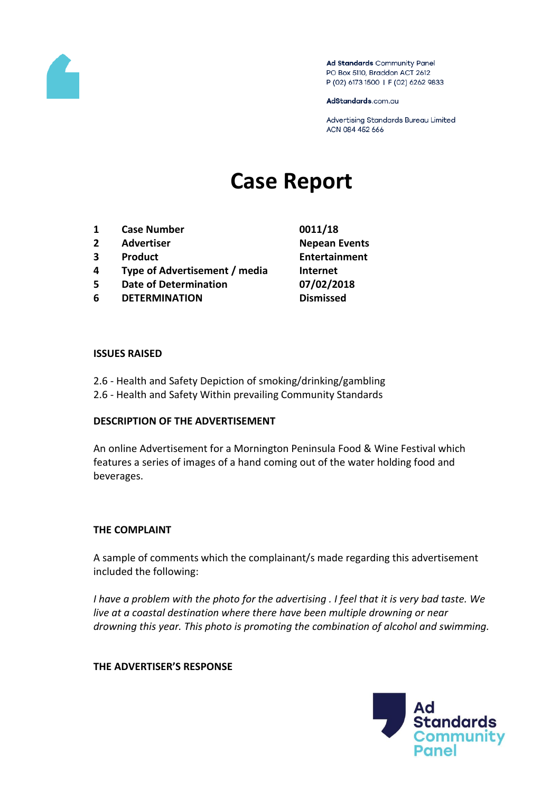

Ad Standards Community Panel PO Box 5110, Braddon ACT 2612 P (02) 6173 1500 | F (02) 6262 9833

AdStandards.com.au

Advertising Standards Bureau Limited ACN 084 452 666

# **Case Report**

- **1 Case Number 0011/18**
- **2 Advertiser Nepean Events**
- 
- **4 Type of Advertisement / media Internet**
- **5 Date of Determination 07/02/2018**
- **6 DETERMINATION Dismissed**

**3 Product Entertainment**

## **ISSUES RAISED**

- 2.6 Health and Safety Depiction of smoking/drinking/gambling
- 2.6 Health and Safety Within prevailing Community Standards

## **DESCRIPTION OF THE ADVERTISEMENT**

An online Advertisement for a Mornington Peninsula Food & Wine Festival which features a series of images of a hand coming out of the water holding food and beverages.

## **THE COMPLAINT**

A sample of comments which the complainant/s made regarding this advertisement included the following:

*I have a problem with the photo for the advertising . I feel that it is very bad taste. We live at a coastal destination where there have been multiple drowning or near drowning this year. This photo is promoting the combination of alcohol and swimming.*

## **THE ADVERTISER'S RESPONSE**

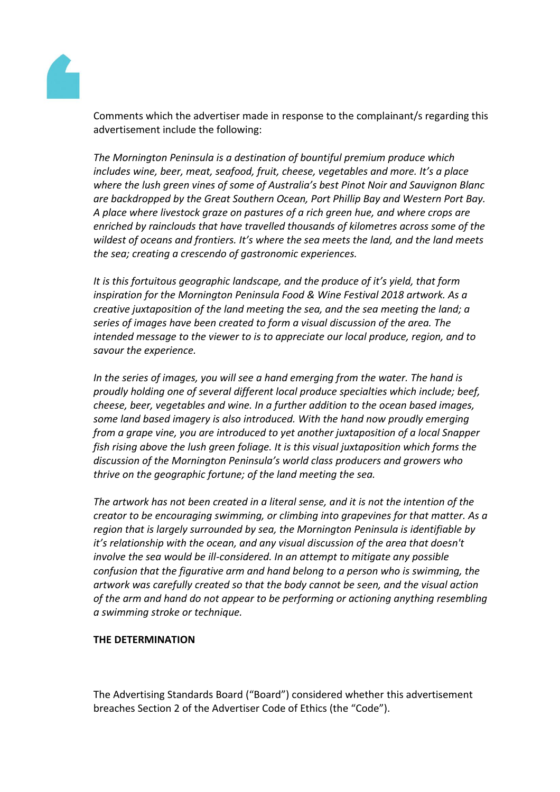

Comments which the advertiser made in response to the complainant/s regarding this advertisement include the following:

*The Mornington Peninsula is a destination of bountiful premium produce which includes wine, beer, meat, seafood, fruit, cheese, vegetables and more. It's a place where the lush green vines of some of Australia's best Pinot Noir and Sauvignon Blanc are backdropped by the Great Southern Ocean, Port Phillip Bay and Western Port Bay. A place where livestock graze on pastures of a rich green hue, and where crops are enriched by rainclouds that have travelled thousands of kilometres across some of the wildest of oceans and frontiers. It's where the sea meets the land, and the land meets the sea; creating a crescendo of gastronomic experiences.*

*It is this fortuitous geographic landscape, and the produce of it's yield, that form inspiration for the Mornington Peninsula Food & Wine Festival 2018 artwork. As a creative juxtaposition of the land meeting the sea, and the sea meeting the land; a series of images have been created to form a visual discussion of the area. The intended message to the viewer to is to appreciate our local produce, region, and to savour the experience.*

*In the series of images, you will see a hand emerging from the water. The hand is proudly holding one of several different local produce specialties which include; beef, cheese, beer, vegetables and wine. In a further addition to the ocean based images, some land based imagery is also introduced. With the hand now proudly emerging from a grape vine, you are introduced to yet another juxtaposition of a local Snapper fish rising above the lush green foliage. It is this visual juxtaposition which forms the discussion of the Mornington Peninsula's world class producers and growers who thrive on the geographic fortune; of the land meeting the sea.*

*The artwork has not been created in a literal sense, and it is not the intention of the creator to be encouraging swimming, or climbing into grapevines for that matter. As a region that is largely surrounded by sea, the Mornington Peninsula is identifiable by it's relationship with the ocean, and any visual discussion of the area that doesn't involve the sea would be ill-considered. In an attempt to mitigate any possible confusion that the figurative arm and hand belong to a person who is swimming, the artwork was carefully created so that the body cannot be seen, and the visual action of the arm and hand do not appear to be performing or actioning anything resembling a swimming stroke or technique.*

## **THE DETERMINATION**

The Advertising Standards Board ("Board") considered whether this advertisement breaches Section 2 of the Advertiser Code of Ethics (the "Code").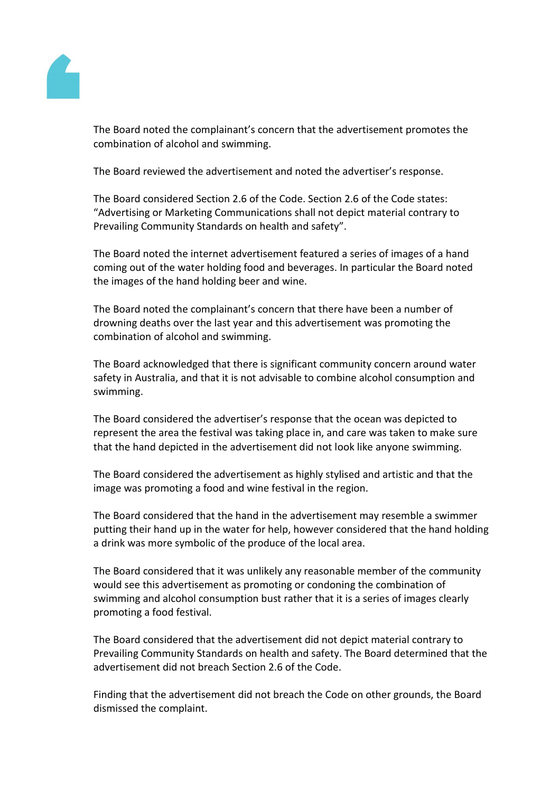

The Board noted the complainant's concern that the advertisement promotes the combination of alcohol and swimming.

The Board reviewed the advertisement and noted the advertiser's response.

The Board considered Section 2.6 of the Code. Section 2.6 of the Code states: "Advertising or Marketing Communications shall not depict material contrary to Prevailing Community Standards on health and safety".

The Board noted the internet advertisement featured a series of images of a hand coming out of the water holding food and beverages. In particular the Board noted the images of the hand holding beer and wine.

The Board noted the complainant's concern that there have been a number of drowning deaths over the last year and this advertisement was promoting the combination of alcohol and swimming.

The Board acknowledged that there is significant community concern around water safety in Australia, and that it is not advisable to combine alcohol consumption and swimming.

The Board considered the advertiser's response that the ocean was depicted to represent the area the festival was taking place in, and care was taken to make sure that the hand depicted in the advertisement did not look like anyone swimming.

The Board considered the advertisement as highly stylised and artistic and that the image was promoting a food and wine festival in the region.

The Board considered that the hand in the advertisement may resemble a swimmer putting their hand up in the water for help, however considered that the hand holding a drink was more symbolic of the produce of the local area.

The Board considered that it was unlikely any reasonable member of the community would see this advertisement as promoting or condoning the combination of swimming and alcohol consumption bust rather that it is a series of images clearly promoting a food festival.

The Board considered that the advertisement did not depict material contrary to Prevailing Community Standards on health and safety. The Board determined that the advertisement did not breach Section 2.6 of the Code.

Finding that the advertisement did not breach the Code on other grounds, the Board dismissed the complaint.